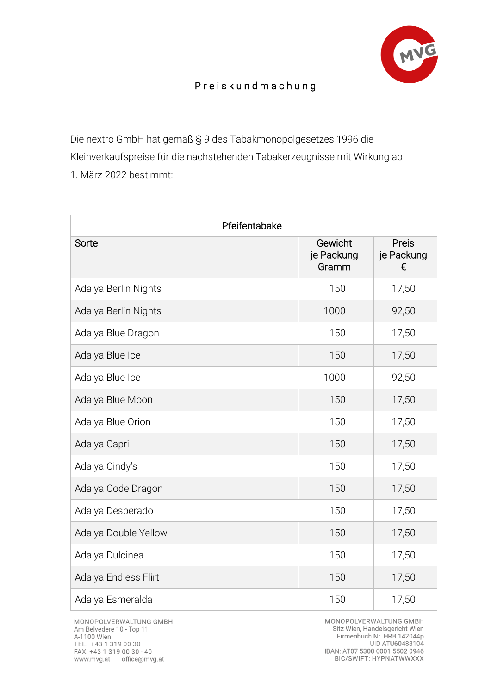

## P r e i s k u n d m a c h u n g

Die nextro GmbH hat gemäß § 9 des Tabakmonopolgesetzes 1996 die Kleinverkaufspreise für die nachstehenden Tabakerzeugnisse mit Wirkung ab 1. März 2022 bestimmt:

| Pfeifentabake        |                                |                          |  |
|----------------------|--------------------------------|--------------------------|--|
| Sorte                | Gewicht<br>je Packung<br>Gramm | Preis<br>je Packung<br>€ |  |
| Adalya Berlin Nights | 150                            | 17,50                    |  |
| Adalya Berlin Nights | 1000                           | 92,50                    |  |
| Adalya Blue Dragon   | 150                            | 17,50                    |  |
| Adalya Blue Ice      | 150                            | 17,50                    |  |
| Adalya Blue Ice      | 1000                           | 92,50                    |  |
| Adalya Blue Moon     | 150                            | 17,50                    |  |
| Adalya Blue Orion    | 150                            | 17,50                    |  |
| Adalya Capri         | 150                            | 17,50                    |  |
| Adalya Cindy's       | 150                            | 17,50                    |  |
| Adalya Code Dragon   | 150                            | 17,50                    |  |
| Adalya Desperado     | 150                            | 17,50                    |  |
| Adalya Double Yellow | 150                            | 17,50                    |  |
| Adalya Dulcinea      | 150                            | 17,50                    |  |
| Adalya Endless Flirt | 150                            | 17,50                    |  |
| Adalya Esmeralda     | 150                            | 17,50                    |  |

MONOPOLVERWALTUNG GMBH Am Belvedere 10 - Top 11 A-1100 Wien TEL. +43 1 319 00 30<br>FAX. +43 1 319 00 30 - 40 www.mvg.at office@mvg.at

MONOPOLVERWALTUNG GMBH Sitz Wien, Handelsgericht Wien Firmenbuch Nr. HRB 142044p UID ATU60483104 IBAN: AT07 5300 0001 5502 0946<br>BIC/SWIFT: HYPNATWWXXX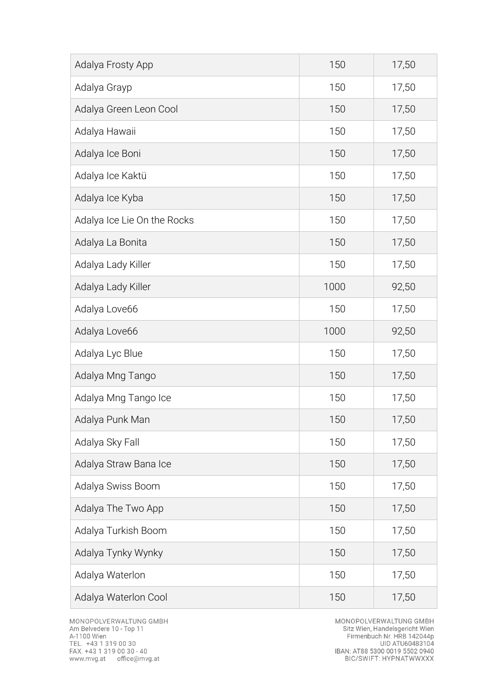| Adalya Frosty App           | 150  | 17,50 |
|-----------------------------|------|-------|
| Adalya Grayp                | 150  | 17,50 |
| Adalya Green Leon Cool      | 150  | 17,50 |
| Adalya Hawaii               | 150  | 17,50 |
| Adalya Ice Boni             | 150  | 17,50 |
| Adalya Ice Kaktü            | 150  | 17,50 |
| Adalya Ice Kyba             | 150  | 17,50 |
| Adalya Ice Lie On the Rocks | 150  | 17,50 |
| Adalya La Bonita            | 150  | 17,50 |
| Adalya Lady Killer          | 150  | 17,50 |
| Adalya Lady Killer          | 1000 | 92,50 |
| Adalya Love66               | 150  | 17,50 |
| Adalya Love66               | 1000 | 92,50 |
| Adalya Lyc Blue             | 150  | 17,50 |
| Adalya Mng Tango            | 150  | 17,50 |
| Adalya Mng Tango Ice        | 150  | 17,50 |
| Adalya Punk Man             | 150  | 17,50 |
| Adalya Sky Fall             | 150  | 17,50 |
| Adalya Straw Bana Ice       | 150  | 17,50 |
| Adalya Swiss Boom           | 150  | 17,50 |
| Adalya The Two App          | 150  | 17,50 |
| Adalya Turkish Boom         | 150  | 17,50 |
| Adalya Tynky Wynky          | 150  | 17,50 |
| Adalya Waterlon             | 150  | 17,50 |
| Adalya Waterlon Cool        | 150  | 17,50 |

MONOPOLVERWALTUNG GMBH<br>Sitz Wien, Handelsgericht Wien<br>Firmenbuch Nr. HRB 142044p<br>UID ATU60483104<br>IBAN: AT88 5300 0019 5502 0940<br>BIC/SWIFT: HYPNATWWXXX